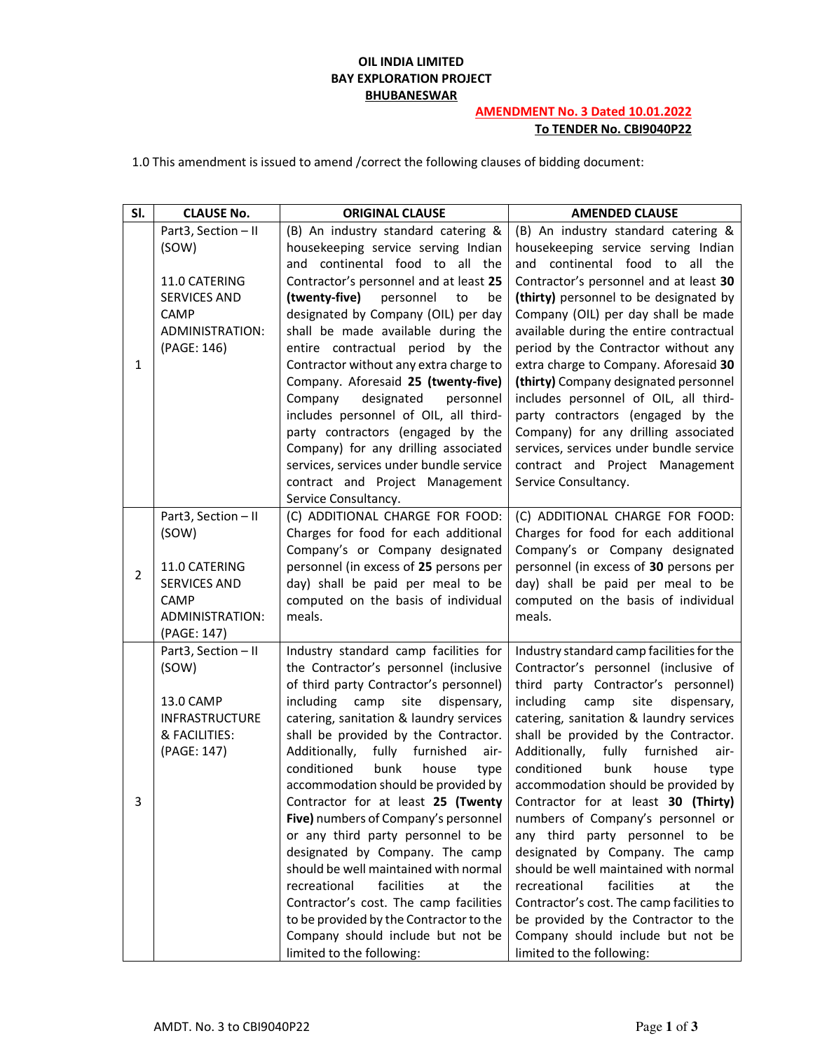## **OIL INDIA LIMITED BAY EXPLORATION PROJECT BHUBANESWAR**

## **AMENDMENT No. 3 Dated 10.01.2022 To TENDER No. CBI9040P22**

1.0 This amendment is issued to amend /correct the following clauses of bidding document:

| SI.            | <b>CLAUSE No.</b>                    | <b>ORIGINAL CLAUSE</b>                                                                                                                              | <b>AMENDED CLAUSE</b>                                                                                                                               |
|----------------|--------------------------------------|-----------------------------------------------------------------------------------------------------------------------------------------------------|-----------------------------------------------------------------------------------------------------------------------------------------------------|
|                | Part3, Section - II                  | (B) An industry standard catering &                                                                                                                 | (B) An industry standard catering &                                                                                                                 |
|                | (SOW)                                | housekeeping service serving Indian                                                                                                                 | housekeeping service serving Indian                                                                                                                 |
|                |                                      | and continental food to all the                                                                                                                     | and continental food to all the                                                                                                                     |
|                | 11.0 CATERING                        | Contractor's personnel and at least 25                                                                                                              | Contractor's personnel and at least 30                                                                                                              |
|                | <b>SERVICES AND</b>                  | (twenty-five)<br>personnel<br>to<br>be                                                                                                              | (thirty) personnel to be designated by                                                                                                              |
|                | <b>CAMP</b>                          | designated by Company (OIL) per day                                                                                                                 | Company (OIL) per day shall be made                                                                                                                 |
|                | ADMINISTRATION:                      | shall be made available during the                                                                                                                  | available during the entire contractual                                                                                                             |
|                | (PAGE: 146)                          | entire contractual period by the                                                                                                                    | period by the Contractor without any                                                                                                                |
| 1              |                                      | Contractor without any extra charge to                                                                                                              | extra charge to Company. Aforesaid 30                                                                                                               |
|                |                                      | Company. Aforesaid 25 (twenty-five)                                                                                                                 | (thirty) Company designated personnel                                                                                                               |
|                |                                      | designated<br>Company<br>personnel                                                                                                                  | includes personnel of OIL, all third-                                                                                                               |
|                |                                      | includes personnel of OIL, all third-                                                                                                               | party contractors (engaged by the                                                                                                                   |
|                |                                      | party contractors (engaged by the                                                                                                                   | Company) for any drilling associated                                                                                                                |
|                |                                      | Company) for any drilling associated                                                                                                                | services, services under bundle service                                                                                                             |
|                |                                      | services, services under bundle service                                                                                                             | contract and Project Management                                                                                                                     |
|                |                                      | contract and Project Management                                                                                                                     | Service Consultancy.                                                                                                                                |
|                |                                      | Service Consultancy.                                                                                                                                |                                                                                                                                                     |
|                | Part3, Section - II                  | (C) ADDITIONAL CHARGE FOR FOOD:                                                                                                                     | (C) ADDITIONAL CHARGE FOR FOOD:                                                                                                                     |
|                | (SOW)                                | Charges for food for each additional                                                                                                                | Charges for food for each additional                                                                                                                |
|                |                                      | Company's or Company designated                                                                                                                     | Company's or Company designated                                                                                                                     |
| $\overline{2}$ | 11.0 CATERING<br><b>SERVICES AND</b> | personnel (in excess of 25 persons per                                                                                                              | personnel (in excess of 30 persons per                                                                                                              |
|                | <b>CAMP</b>                          | day) shall be paid per meal to be<br>computed on the basis of individual                                                                            | day) shall be paid per meal to be<br>computed on the basis of individual                                                                            |
|                | ADMINISTRATION:                      | meals.                                                                                                                                              | meals.                                                                                                                                              |
|                | (PAGE: 147)                          |                                                                                                                                                     |                                                                                                                                                     |
|                | Part3, Section - II                  | Industry standard camp facilities for                                                                                                               | Industry standard camp facilities for the                                                                                                           |
|                | (SOW)                                | the Contractor's personnel (inclusive                                                                                                               | Contractor's personnel (inclusive of                                                                                                                |
|                |                                      | of third party Contractor's personnel)                                                                                                              | third party Contractor's personnel)                                                                                                                 |
|                | 13.0 CAMP                            | including<br>site<br>dispensary,<br>camp                                                                                                            | including<br>site<br>dispensary,<br>camp                                                                                                            |
|                | INFRASTRUCTURE                       | catering, sanitation & laundry services                                                                                                             | catering, sanitation & laundry services                                                                                                             |
|                | & FACILITIES:                        | shall be provided by the Contractor.                                                                                                                | shall be provided by the Contractor.                                                                                                                |
|                | (PAGE: 147)                          | Additionally,<br>fully furnished<br>air-                                                                                                            | Additionally,<br>fully furnished<br>air-                                                                                                            |
|                |                                      | conditioned<br>bunk<br>house<br>type                                                                                                                | conditioned<br>bunk<br>house<br>type                                                                                                                |
|                |                                      | accommodation should be provided by                                                                                                                 | accommodation should be provided by                                                                                                                 |
| 3              |                                      | Contractor for at least 25 (Twenty                                                                                                                  | Contractor for at least 30 (Thirty)                                                                                                                 |
|                |                                      | Five) numbers of Company's personnel                                                                                                                | numbers of Company's personnel or                                                                                                                   |
|                |                                      | or any third party personnel to be                                                                                                                  | any third party personnel to be                                                                                                                     |
|                |                                      | designated by Company. The camp                                                                                                                     | designated by Company. The camp                                                                                                                     |
|                |                                      | should be well maintained with normal                                                                                                               | should be well maintained with normal                                                                                                               |
|                |                                      | recreational<br>facilities<br>at<br>the                                                                                                             | recreational<br>facilities<br>at<br>the                                                                                                             |
|                |                                      |                                                                                                                                                     |                                                                                                                                                     |
|                |                                      |                                                                                                                                                     |                                                                                                                                                     |
|                |                                      |                                                                                                                                                     |                                                                                                                                                     |
|                |                                      | Contractor's cost. The camp facilities<br>to be provided by the Contractor to the<br>Company should include but not be<br>limited to the following: | Contractor's cost. The camp facilities to<br>be provided by the Contractor to the<br>Company should include but not be<br>limited to the following: |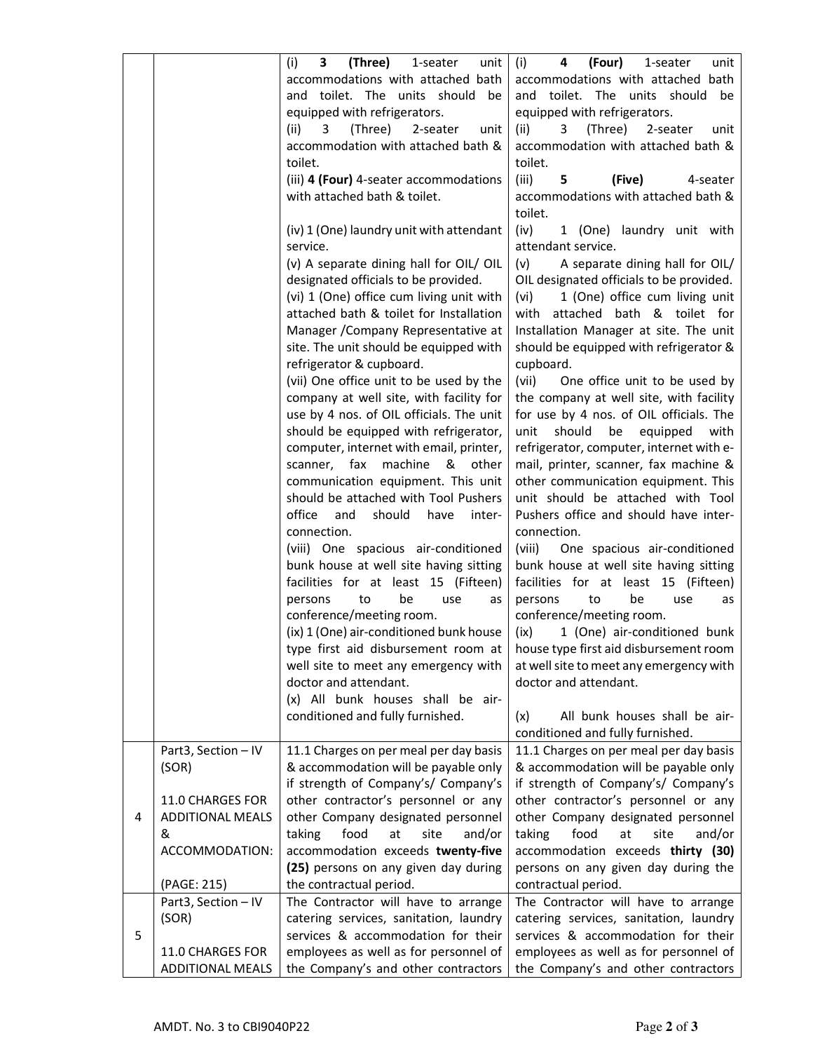|   |                         | (i)<br>3<br>(Three)<br>1-seater<br>unit              | (i)<br>(Four)<br>unit<br>4<br>1-seater                                       |
|---|-------------------------|------------------------------------------------------|------------------------------------------------------------------------------|
|   |                         | accommodations with attached bath                    | accommodations with attached bath                                            |
|   |                         | and toilet. The units should be                      | and toilet. The units should<br>be                                           |
|   |                         | equipped with refrigerators.                         | equipped with refrigerators.                                                 |
|   |                         | (Three)<br>(ii)<br>3<br>2-seater<br>unit             | (Three)<br>(ii)<br>3<br>2-seater<br>unit                                     |
|   |                         | accommodation with attached bath &<br>toilet.        | accommodation with attached bath &<br>toilet.                                |
|   |                         | (iii) 4 (Four) 4-seater accommodations               | (iii)<br>5<br>(Five)<br>4-seater                                             |
|   |                         | with attached bath & toilet.                         | accommodations with attached bath &                                          |
|   |                         |                                                      | toilet.                                                                      |
|   |                         | (iv) 1 (One) laundry unit with attendant<br>service. | (iv)<br>1 (One) laundry unit with<br>attendant service.                      |
|   |                         | (v) A separate dining hall for OIL/ OIL              | (v)<br>A separate dining hall for OIL/                                       |
|   |                         | designated officials to be provided.                 | OIL designated officials to be provided.                                     |
|   |                         | (vi) 1 (One) office cum living unit with             | 1 (One) office cum living unit<br>(vi)                                       |
|   |                         | attached bath & toilet for Installation              | with attached bath & toilet for                                              |
|   |                         | Manager / Company Representative at                  | Installation Manager at site. The unit                                       |
|   |                         | site. The unit should be equipped with               | should be equipped with refrigerator &                                       |
|   |                         | refrigerator & cupboard.                             | cupboard.                                                                    |
|   |                         | (vii) One office unit to be used by the              | (vii)<br>One office unit to be used by                                       |
|   |                         | company at well site, with facility for              | the company at well site, with facility                                      |
|   |                         | use by 4 nos. of OIL officials. The unit             | for use by 4 nos. of OIL officials. The                                      |
|   |                         | should be equipped with refrigerator,                | unit<br>should<br>be<br>equipped<br>with                                     |
|   |                         | computer, internet with email, printer,              | refrigerator, computer, internet with e-                                     |
|   |                         | scanner, fax<br>machine<br>&<br>other                | mail, printer, scanner, fax machine &                                        |
|   |                         | communication equipment. This unit                   | other communication equipment. This                                          |
|   |                         | should be attached with Tool Pushers                 | unit should be attached with Tool                                            |
|   |                         | office<br>and<br>should<br>have<br>inter-            | Pushers office and should have inter-                                        |
|   |                         | connection.                                          | connection.                                                                  |
|   |                         | (viii) One spacious air-conditioned                  | (viii)<br>One spacious air-conditioned                                       |
|   |                         | bunk house at well site having sitting               | bunk house at well site having sitting                                       |
|   |                         | facilities for at least 15 (Fifteen)                 | facilities for at least 15 (Fifteen)                                         |
|   |                         | persons<br>to<br>be<br>use<br>as                     | be<br>persons<br>to<br>use<br>as                                             |
|   |                         | conference/meeting room.                             | conference/meeting room.                                                     |
|   |                         | (ix) 1 (One) air-conditioned bunk house              | 1 (One) air-conditioned bunk<br>(ix)                                         |
|   |                         |                                                      | type first aid disbursement room at   house type first aid disbursement room |
|   |                         | well site to meet any emergency with                 | at well site to meet any emergency with                                      |
|   |                         | doctor and attendant.                                | doctor and attendant.                                                        |
|   |                         | (x) All bunk houses shall be air-                    |                                                                              |
|   |                         | conditioned and fully furnished.                     | All bunk houses shall be air-<br>(x)                                         |
|   |                         |                                                      | conditioned and fully furnished.                                             |
|   | Part3, Section - IV     | 11.1 Charges on per meal per day basis               | 11.1 Charges on per meal per day basis                                       |
|   | (SOR)                   | & accommodation will be payable only                 | & accommodation will be payable only                                         |
|   |                         | if strength of Company's/ Company's                  | if strength of Company's/ Company's                                          |
|   | 11.0 CHARGES FOR        | other contractor's personnel or any                  | other contractor's personnel or any                                          |
| 4 | <b>ADDITIONAL MEALS</b> | other Company designated personnel                   | other Company designated personnel                                           |
|   | &                       | taking<br>food<br>at<br>site<br>and/or               | taking<br>food<br>at<br>site<br>and/or                                       |
|   | ACCOMMODATION:          | accommodation exceeds twenty-five                    | accommodation exceeds thirty (30)                                            |
|   |                         | (25) persons on any given day during                 | persons on any given day during the                                          |
|   | (PAGE: 215)             | the contractual period.                              | contractual period.                                                          |
|   | Part3, Section - IV     | The Contractor will have to arrange                  | The Contractor will have to arrange                                          |
|   | (SOR)                   | catering services, sanitation, laundry               | catering services, sanitation, laundry                                       |
| 5 |                         | services & accommodation for their                   | services & accommodation for their                                           |
|   | 11.0 CHARGES FOR        | employees as well as for personnel of                | employees as well as for personnel of                                        |
|   | <b>ADDITIONAL MEALS</b> | the Company's and other contractors                  | the Company's and other contractors                                          |
|   |                         |                                                      |                                                                              |